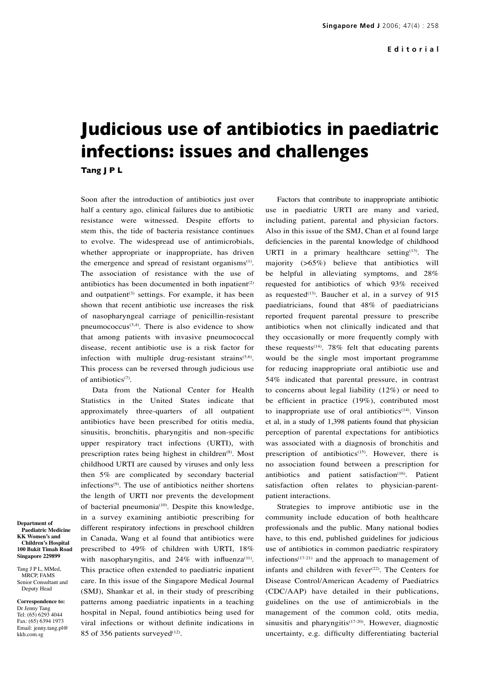## **Judicious use of antibiotics in paediatric infections: issues and challenges Tang J P L**

Soon after the introduction of antibiotics just over half a century ago, clinical failures due to antibiotic resistance were witnessed. Despite efforts to stem this, the tide of bacteria resistance continues to evolve. The widespread use of antimicrobials, whether appropriate or inappropriate, has driven the emergence and spread of resistant organisms $(1)$ . The association of resistance with the use of antibiotics has been documented in both inpatient<sup> $(2)$ </sup> and outpatient<sup>(3)</sup> settings. For example, it has been shown that recent antibiotic use increases the risk of nasopharyngeal carriage of penicillin-resistant pneumococcus<sup> $(3,4)$ </sup>. There is also evidence to show that among patients with invasive pneumococcal disease, recent antibiotic use is a risk factor for infection with multiple drug-resistant strains $(5,6)$ . This process can be reversed through judicious use of antibiotics<sup>(7)</sup>.

Data from the National Center for Health Statistics in the United States indicate that approximately three-quarters of all outpatient antibiotics have been prescribed for otitis media, sinusitis, bronchitis, pharyngitis and non-specific upper respiratory tract infections (URTI), with prescription rates being highest in children<sup>(8)</sup>. Most childhood URTI are caused by viruses and only less then 5% are complicated by secondary bacterial infections(9). The use of antibiotics neither shortens the length of URTI nor prevents the development of bacterial pneumonia<sup>(10)</sup>. Despite this knowledge, in a survey examining antibiotic prescribing for different respiratory infections in preschool children in Canada, Wang et al found that antibiotics were prescribed to 49% of children with URTI, 18% with nasopharyngitis, and  $24\%$  with influenza<sup>(11)</sup>. This practice often extended to paediatric inpatient care. In this issue of the Singapore Medical Journal (SMJ), Shankar et al, in their study of prescribing patterns among paediatric inpatients in a teaching hospital in Nepal, found antibiotics being used for viral infections or without definite indications in 85 of 356 patients surveyed $(12)$ .

Factors that contribute to inappropriate antibiotic use in paediatric URTI are many and varied, including patient, parental and physician factors. Also in this issue of the SMJ, Chan et al found large deficiencies in the parental knowledge of childhood URTI in a primary healthcare setting $(13)$ . The majority (>65%) believe that antibiotics will be helpful in alleviating symptoms, and 28% requested for antibiotics of which 93% received as requested $(13)$ . Baucher et al, in a survey of 915 paediatricians, found that 48% of paediatricians reported frequent parental pressure to prescribe antibiotics when not clinically indicated and that they occasionally or more frequently comply with these requests<sup> $(14)$ </sup>. 78% felt that educating parents would be the single most important programme for reducing inappropriate oral antibiotic use and 54% indicated that parental pressure, in contrast to concerns about legal liability (12%) or need to be efficient in practice (19%), contributed most to inappropriate use of oral antibiotics<sup>(14)</sup>. Vinson et al, in a study of 1,398 patients found that physician perception of parental expectations for antibiotics was associated with a diagnosis of bronchitis and prescription of antibiotics<sup>(15)</sup>. However, there is no association found between a prescription for antibiotics and patient satisfaction<sup>(16)</sup>. Patient satisfaction often relates to physician-parentpatient interactions.

Strategies to improve antibiotic use in the community include education of both healthcare professionals and the public. Many national bodies have, to this end, published guidelines for judicious use of antibiotics in common paediatric respiratory infections<sup> $(17-21)$ </sup> and the approach to management of infants and children with fever $(22)$ . The Centers for Disease Control/American Academy of Paediatrics (CDC/AAP) have detailed in their publications, guidelines on the use of antimicrobials in the management of the common cold, otits media, sinusitis and pharyngitis $(17-20)$ . However, diagnostic uncertainty, e.g. difficulty differentiating bacterial

**Department of Paediatric Medicine KK Women's and Children's Hospital 100 Bukit Timah Road Singapore 229899**

Tang J P L, MMed, MRCP, FAMS Senior Consultant and Deputy Head

**Correspondence to:** Dr Jenny Tang Tel: (65) 6293 4044 Fax: (65) 6394 1973 Email: jenny.tang.pl@ kkh.com.sg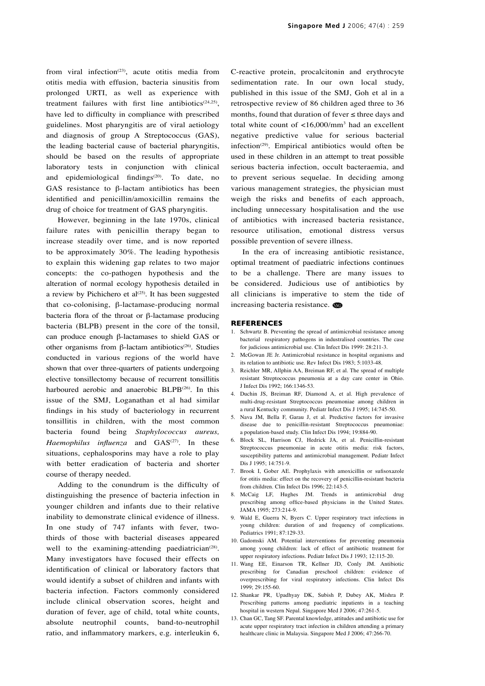from viral infection<sup>(23)</sup>, acute otitis media from otitis media with effusion, bacteria sinusitis from prolonged URTI, as well as experience with treatment failures with first line antibiotics<sup> $(24,25)$ </sup>, have led to difficulty in compliance with prescribed guidelines. Most pharyngitis are of viral aetiology and diagnosis of group A Streptococcus (GAS), the leading bacterial cause of bacterial pharyngitis, should be based on the results of appropriate laboratory tests in conjunction with clinical and epidemiological findings<sup>(20)</sup>. To date, no GAS resistance to β-lactam antibiotics has been identified and penicillin/amoxicillin remains the drug of choice for treatment of GAS pharyngitis.

However, beginning in the late 1970s, clinical failure rates with penicillin therapy began to increase steadily over time, and is now reported to be approximately 30%. The leading hypothesis to explain this widening gap relates to two major concepts: the co-pathogen hypothesis and the alteration of normal ecology hypothesis detailed in a review by Pichichero et al<sup>(25)</sup>. It has been suggested that co-colonising, β-lactamase-producing normal bacteria flora of the throat or β-lactamase producing bacteria (BLPB) present in the core of the tonsil, can produce enough β-lactamases to shield GAS or other organisms from β-lactam antibiotics<sup>(26)</sup>. Studies conducted in various regions of the world have shown that over three-quarters of patients undergoing elective tonsillectomy because of recurrent tonsillitis harboured aerobic and anaerobic BLPB<sup>(26)</sup>. In this issue of the SMJ, Loganathan et al had similar findings in his study of bacteriology in recurrent tonsillitis in children, with the most common bacteria found being *Staphylococcus aureus, Haemophilus influenza* and GAS<sup>(27)</sup>. In these situations, cephalosporins may have a role to play with better eradication of bacteria and shorter course of therapy needed.

Adding to the conundrum is the difficulty of distinguishing the presence of bacteria infection in younger children and infants due to their relative inability to demonstrate clinical evidence of illness. In one study of 747 infants with fever, twothirds of those with bacterial diseases appeared well to the examining-attending paediatrician<sup> $(28)$ </sup>. Many investigators have focused their effects on identification of clinical or laboratory factors that would identify a subset of children and infants with bacteria infection. Factors commonly considered include clinical observation scores, height and duration of fever, age of child, total white counts, absolute neutrophil counts, band-to-neutrophil ratio, and inflammatory markers, e.g. interleukin 6, C-reactive protein, procalcitonin and erythrocyte sedimentation rate. In our own local study, published in this issue of the SMJ, Goh et al in a retrospective review of 86 children aged three to 36 months, found that duration of fever ≤ three days and total white count of <16,000/mm3 had an excellent negative predictive value for serious bacterial infection<sup> $(29)$ </sup>. Empirical antibiotics would often be used in these children in an attempt to treat possible serious bacteria infection, occult bacteraemia, and to prevent serious sequelae. In deciding among various management strategies, the physician must weigh the risks and benefits of each approach, including unnecessary hospitalisation and the use of antibiotics with increased bacteria resistance, resource utilisation, emotional distress versus possible prevention of severe illness.

In the era of increasing antibiotic resistance, optimal treatment of paediatric infections continues to be a challenge. There are many issues to be considered. Judicious use of antibiotics by all clinicians is imperative to stem the tide of increasing bacteria resistance.

## **REFERENCES**

- 1. Schwartz B. Preventing the spread of antimicrobial resistance among bacterial respiratory pathogens in industralised countries. The case for judicious antimicrobial use. Clin Infect Dis 1999: 28:211-3.
- 2. McGowan JE Jr. Antimicrobial resistance in hospital organisms and its relation to antibiotic use. Rev Infect Dis 1983; 5:1033-48.
- 3. Reichler MR, Allphin AA, Breiman RF, et al. The spread of multiple resistant Streptococcus pneumonia at a day care center in Ohio. J Infect Dis 1992; 166:1346-53.
- 4. Duchin JS, Breiman RF, Diamond A, et al. High prevalence of multi-drug-resistant Streptococcus pneumoniae among children in a rural Kentucky community. Pediatr Infect Dis J 1995; 14:745-50.
- 5. Nava JM, Bella F, Garau J, et al. Predictive factors for invasive disease due to penicillin-resistant Streptococcus pneumoniae: a population-based study. Clin Infect Dis 1994; 19:884-90.
- 6. Block SL, Harrison CJ, Hedrick JA, et al. Penicillin-resistant Streptococcus pneumoniae in acute otitis media: risk factors, susceptibility patterns and antimicrobial management. Pediatr Infect Dis J 1995; 14:751-9.
- 7. Brook I, Gober AE. Prophylaxis with amoxicillin or sufisoxazole for otitis media: effect on the recovery of penicillin-resistant bacteria from children. Clin Infect Dis 1996; 22:143-5.
- 8. McCaig LF, Hughes JM. Trends in antimicrobial drug prescribing among office-based physicians in the United States. JAMA 1995; 273:214-9.
- 9. Wald E, Guerra N, Byers C. Upper respiratory tract infections in young children: duration of and frequency of complications. Pediatrics 1991; 87:129-33.
- 10. Gadomski AM. Potential interventions for preventing pneumonia among young children: lack of effect of antibiotic treatment for upper respiratory infections. Pediatr Infect Dis J 1993; 12:115-20.
- 11. Wang EE, Einarson TR, Kellner JD, Conly JM. Antibiotic prescribing for Canadian preschool children: evidence of overprescribing for viral respiratory infections. Clin Infect Dis 1999; 29:155-60.
- 12. Shankar PR, Upadhyay DK, Subish P, Dubey AK, Mishra P. Prescribing patterns among paediatric inpatients in a teaching hospital in western Nepal. Singapore Med J 2006; 47:261-5.
- 13. Chan GC, Tang SF. Parental knowledge, attitudes and antibiotic use for acute upper respiratory tract infection in children attending a primary healthcare clinic in Malaysia. Singapore Med J 2006; 47:266-70.